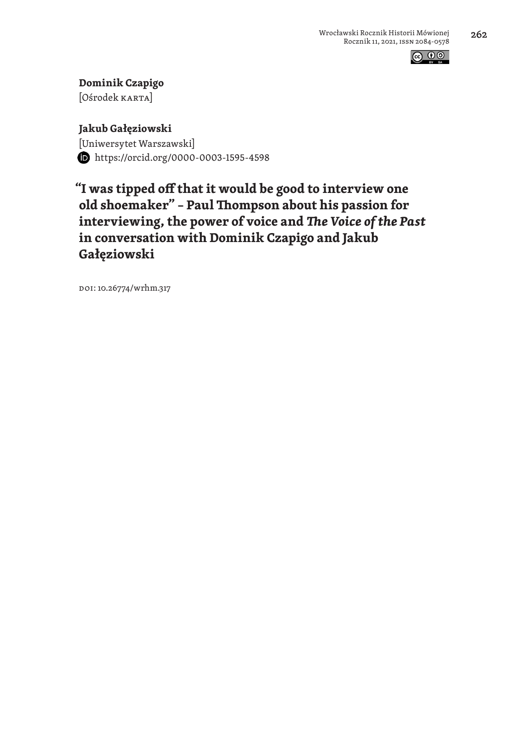

**Dominik Czapigo** [Ośrodek karta]

**Jakub Gałęziowski** [Uniwersytet Warszawski] https://orcid.org/0000-0003-1595-4598

**"I was tipped off that it would be good to interview one old shoemaker" – Paul Thompson about his passion for interviewing, the power of voice and** *The Voice of the Past* **in conversation with Dominik Czapigo and Jakub Gałęziowski**

DOI: 10.26774/wrhm.317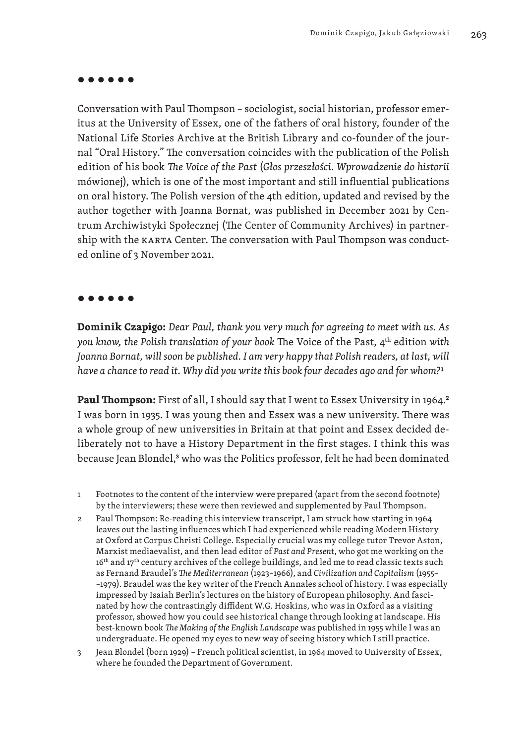#### **● ● ● ● ● ●**

Conversation with Paul Thompson – sociologist, social historian, professor emeritus at the University of Essex, one of the fathers of oral history, founder of the National Life Stories Archive at the British Library and co-founder of the journal "Oral History." The conversation coincides with the publication of the Polish edition of his book *The Voice of the Past* (*Głos przeszłości. Wprowadzenie do historii*  mówionej), which is one of the most important and still influential publications on oral history. The Polish version of the 4th edition, updated and revised by the author together with Joanna Bornat, was published in December 2021 by Centrum Archiwistyki Społecznej (The Center of Community Archives) in partnership with the karta Center. The conversation with Paul Thompson was conducted online of 3 November 2021.

#### **● ● ● ● ● ●**

**Dominik Czapigo:** *Dear Paul, thank you very much for agreeing to meet with us. As you know, the Polish translation of your book* The Voice of the Past, 4th edition *with Joanna Bornat, will soon be published. I am very happy that Polish readers, at last, will have a chance to read it. Why did you write this book four decades ago and for whom?*1

**Paul Thompson:** First of all, I should say that I went to Essex University in 1964.<sup>2</sup> I was born in 1935. I was young then and Essex was a new university. There was a whole group of new universities in Britain at that point and Essex decided deliberately not to have a History Department in the first stages. I think this was because Jean Blondel,<sup>3</sup> who was the Politics professor, felt he had been dominated

- 1 Footnotes to the content of the interview were prepared (apart from the second footnote) by the interviewers; these were then reviewed and supplemented by Paul Thompson.
- 2 Paul Thompson: Re-reading this interview transcript, I am struck how starting in 1964 leaves out the lasting influences which I had experienced while reading Modern History at Oxford at Corpus Christi College. Especially crucial was my college tutor Trevor Aston, Marxist mediaevalist, and then lead editor of *Past and Present*, who got me working on the 16<sup>th</sup> and 17<sup>th</sup> century archives of the college buildings, and led me to read classic texts such as Fernand Braudel's *The Mediterranean* (1923–1966), and *Civilization and Capitalism* (1955– –1979). Braudel was the key writer of the French Annales school of history. I was especially impressed by Isaiah Berlin's lectures on the history of European philosophy. And fascinated by how the contrastingly diffident W.G. Hoskins, who was in Oxford as a visiting professor, showed how you could see historical change through looking at landscape. His best-known book *The Making of the English Landscape* was published in 1955 while I was an undergraduate. He opened my eyes to new way of seeing history which I still practice.
- 3 Jean Blondel (born 1929) French political scientist, in 1964 moved to University of Essex, where he founded the Department of Government.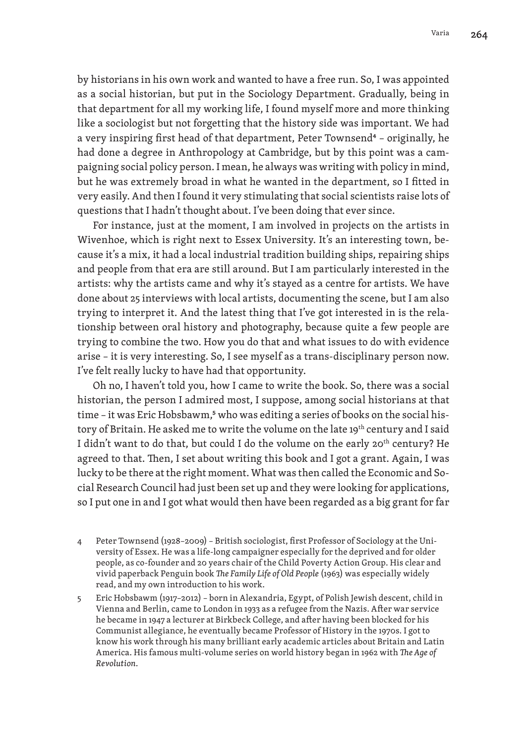by historians in his own work and wanted to have a free run. So, I was appointed as a social historian, but put in the Sociology Department. Gradually, being in that department for all my working life, I found myself more and more thinking like a sociologist but not forgetting that the history side was important. We had a very inspiring first head of that department, Peter Townsend<sup>4</sup> - originally, he had done a degree in Anthropology at Cambridge, but by this point was a campaigning social policy person. I mean, he always was writing with policy in mind, but he was extremely broad in what he wanted in the department, so I fitted in very easily. And then I found it very stimulating that social scientists raise lots of questions that I hadn't thought about. I've been doing that ever since.

For instance, just at the moment, I am involved in projects on the artists in Wivenhoe, which is right next to Essex University. It's an interesting town, because it's a mix, it had a local industrial tradition building ships, repairing ships and people from that era are still around. But I am particularly interested in the artists: why the artists came and why it's stayed as a centre for artists. We have done about 25 interviews with local artists, documenting the scene, but I am also trying to interpret it. And the latest thing that I've got interested in is the relationship between oral history and photography, because quite a few people are trying to combine the two. How you do that and what issues to do with evidence arise – it is very interesting. So, I see myself as a trans-disciplinary person now. I've felt really lucky to have had that opportunity.

Oh no, I haven't told you, how I came to write the book. So, there was a social historian, the person I admired most, I suppose, among social historians at that time - it was Eric Hobsbawm,<sup>5</sup> who was editing a series of books on the social history of Britain. He asked me to write the volume on the late 19<sup>th</sup> century and I said I didn't want to do that, but could I do the volume on the early 20<sup>th</sup> century? He agreed to that. Then, I set about writing this book and I got a grant. Again, I was lucky to be there at the right moment. What was then called the Economic and Social Research Council had just been set up and they were looking for applications, so I put one in and I got what would then have been regarded as a big grant for far

- 4 Peter Townsend (1928–2009) British sociologist, first Professor of Sociology at the University of Essex. He was a life-long campaigner especially for the deprived and for older people, as co-founder and 20 years chair of the Child Poverty Action Group. His clear and vivid paperback Penguin book *The Family Life of Old People* (1963) was especially widely read, and my own introduction to his work.
- 5 Eric Hobsbawm (1917–2012) born in Alexandria, Egypt, of Polish Jewish descent, child in Vienna and Berlin, came to London in 1933 as a refugee from the Nazis. After war service he became in 1947 a lecturer at Birkbeck College, and after having been blocked for his Communist allegiance, he eventually became Professor of History in the 1970s. I got to know his work through his many brilliant early academic articles about Britain and Latin America. His famous multi-volume series on world history began in 1962 with *The Age of Revolution.*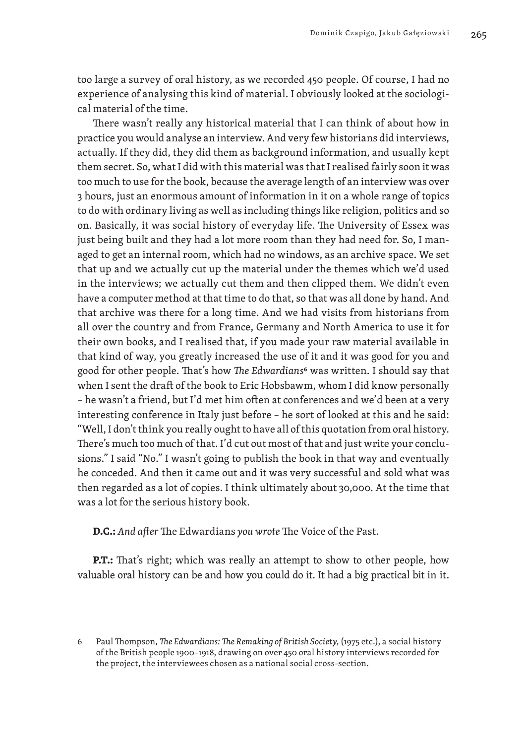too large a survey of oral history, as we recorded 450 people. Of course, I had no experience of analysing this kind of material. I obviously looked at the sociological material of the time.

There wasn't really any historical material that I can think of about how in practice you would analyse an interview. And very few historians did interviews, actually. If they did, they did them as background information, and usually kept them secret. So, what I did with this material was that I realised fairly soon it was too much to use for the book, because the average length of an interview was over 3 hours, just an enormous amount of information in it on a whole range of topics to do with ordinary living as well as including things like religion, politics and so on. Basically, it was social history of everyday life. The University of Essex was just being built and they had a lot more room than they had need for. So, I managed to get an internal room, which had no windows, as an archive space. We set that up and we actually cut up the material under the themes which we'd used in the interviews; we actually cut them and then clipped them. We didn't even have a computer method at that time to do that, so that was all done by hand. And that archive was there for a long time. And we had visits from historians from all over the country and from France, Germany and North America to use it for their own books, and I realised that, if you made your raw material available in that kind of way, you greatly increased the use of it and it was good for you and good for other people. That's how *The Edwardians*6 was written. I should say that when I sent the draft of the book to Eric Hobsbawm, whom I did know personally – he wasn't a friend, but I'd met him often at conferences and we'd been at a very interesting conference in Italy just before – he sort of looked at this and he said: "Well, I don't think you really ought to have all of this quotation from oral history. There's much too much of that. I'd cut out most of that and just write your conclusions." I said "No." I wasn't going to publish the book in that way and eventually he conceded. And then it came out and it was very successful and sold what was then regarded as a lot of copies. I think ultimately about 30,000. At the time that was a lot for the serious history book.

**D.C.:** *And after* The Edwardians *you wrote* The Voice of the Past.

**P.T.:** That's right; which was really an attempt to show to other people, how valuable oral history can be and how you could do it. It had a big practical bit in it.

<sup>6</sup> Paul Thompson, *The Edwardians: The Remaking of British Society*, (1975 etc.), a social history of the British people 1900–1918, drawing on over 450 oral history interviews recorded for the project, the interviewees chosen as a national social cross-section.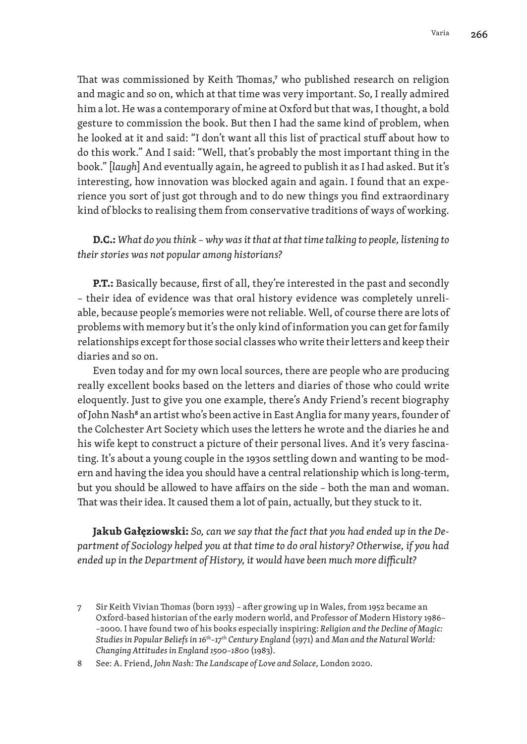That was commissioned by Keith Thomas,<sup>7</sup> who published research on religion and magic and so on, which at that time was very important. So, I really admired him a lot. He was a contemporary of mine at Oxford but that was, I thought, a bold gesture to commission the book. But then I had the same kind of problem, when he looked at it and said: "I don't want all this list of practical stuff about how to do this work." And I said: "Well, that's probably the most important thing in the book." [*laugh*] And eventually again, he agreed to publish it as I had asked. But it's interesting, how innovation was blocked again and again. I found that an experience you sort of just got through and to do new things you find extraordinary kind of blocks to realising them from conservative traditions of ways of working.

# **D.C.:** *What do you think – why was it that at that time talking to people, listening to their stories was not popular among historians?*

**P.T.:** Basically because, first of all, they're interested in the past and secondly – their idea of evidence was that oral history evidence was completely unreliable, because people's memories were not reliable. Well, of course there are lots of problems with memory but it's the only kind of information you can get for family relationships except for those social classes who write their letters and keep their diaries and so on.

Even today and for my own local sources, there are people who are producing really excellent books based on the letters and diaries of those who could write eloquently. Just to give you one example, there's Andy Friend's recent biography of John Nash<sup>8</sup> an artist who's been active in East Anglia for many years, founder of the Colchester Art Society which uses the letters he wrote and the diaries he and his wife kept to construct a picture of their personal lives. And it's very fascinating. It's about a young couple in the 1930s settling down and wanting to be modern and having the idea you should have a central relationship which is long-term, but you should be allowed to have affairs on the side – both the man and woman. That was their idea. It caused them a lot of pain, actually, but they stuck to it.

**Jakub Gałęziowski:** *So, can we say that the fact that you had ended up in the Department of Sociology helped you at that time to do oral history? Otherwise, if you had ended up in the Department of History, it would have been much more difficult?*

<sup>7</sup> Sir Keith Vivian Thomas (born 1933) – after growing up in Wales, from 1952 became an Oxford-based historian of the early modern world, and Professor of Modern History 1986– –2000. I have found two of his books especially inspiring: *Religion and the Decline of Magic: Studies in Popular Beliefs in 16th–17th Century England* (1971) and *Man and the Natural World: Changing Attitudes in England 1500–1800* (1983).

<sup>8</sup> See: A. Friend, *John Nash: The Landscape of Love and Solace*, London 2020.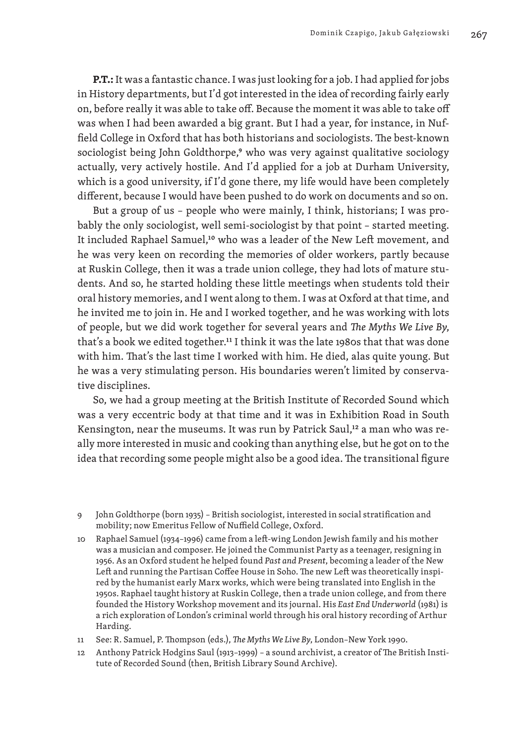**P.T.:** It was a fantastic chance. I was just looking for a job. I had applied for jobs in History departments, but I'd got interested in the idea of recording fairly early on, before really it was able to take off. Because the moment it was able to take off was when I had been awarded a big grant. But I had a year, for instance, in Nuffield College in Oxford that has both historians and sociologists. The best-known sociologist being John Goldthorpe,<sup>9</sup> who was very against qualitative sociology actually, very actively hostile. And I'd applied for a job at Durham University, which is a good university, if I'd gone there, my life would have been completely different, because I would have been pushed to do work on documents and so on.

But a group of us – people who were mainly, I think, historians; I was probably the only sociologist, well semi-sociologist by that point – started meeting. It included Raphael Samuel,<sup>10</sup> who was a leader of the New Left movement, and he was very keen on recording the memories of older workers, partly because at Ruskin College, then it was a trade union college, they had lots of mature students. And so, he started holding these little meetings when students told their oral history memories, and I went along to them. I was at Oxford at that time, and he invited me to join in. He and I worked together, and he was working with lots of people, but we did work together for several years and *The Myths We Live By*, that's a book we edited together.11 I think it was the late 1980s that that was done with him. That's the last time I worked with him. He died, alas quite young. But he was a very stimulating person. His boundaries weren't limited by conservative disciplines.

So, we had a group meeting at the British Institute of Recorded Sound which was a very eccentric body at that time and it was in Exhibition Road in South Kensington, near the museums. It was run by Patrick Saul,<sup>12</sup> a man who was really more interested in music and cooking than anything else, but he got on to the idea that recording some people might also be a good idea. The transitional figure

- 11 See: R. Samuel, P. Thompson (eds.), *The Myths We Live By*, London–New York 1990.
- 12 Anthony Patrick Hodgins Saul (1913–1999) a sound archivist, a creator of The British Institute of Recorded Sound (then, British Library Sound Archive).

<sup>9</sup> John Goldthorpe (born 1935) – British sociologist, interested in social stratification and mobility; now Emeritus Fellow of Nuffield College, Oxford.

<sup>10</sup> Raphael Samuel (1934–1996) came from a left-wing London Jewish family and his mother was a musician and composer. He joined the Communist Party as a teenager, resigning in 1956. As an Oxford student he helped found *Past and Present*, becoming a leader of the New Left and running the Partisan Coffee House in Soho. The new Left was theoretically inspired by the humanist early Marx works, which were being translated into English in the 1950s. Raphael taught history at Ruskin College, then a trade union college, and from there founded the History Workshop movement and its journal. His *East End Underworld* (1981) is a rich exploration of London's criminal world through his oral history recording of Arthur Harding.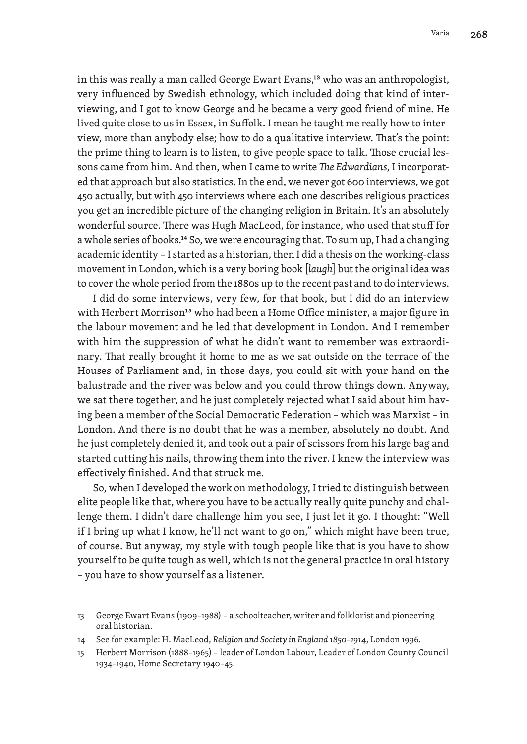in this was really a man called George Ewart Evans,13 who was an anthropologist, very influenced by Swedish ethnology, which included doing that kind of interviewing, and I got to know George and he became a very good friend of mine. He lived quite close to us in Essex, in Suffolk. I mean he taught me really how to interview, more than anybody else; how to do a qualitative interview. That's the point: the prime thing to learn is to listen, to give people space to talk. Those crucial lessons came from him. And then, when I came to write *The Edwardians*, I incorporated that approach but also statistics. In the end, we never got 600 interviews, we got 450 actually, but with 450 interviews where each one describes religious practices you get an incredible picture of the changing religion in Britain. It's an absolutely wonderful source. There was Hugh MacLeod, for instance, who used that stuff for a whole series of books.14 So, we were encouraging that. To sum up, I had a changing academic identity – I started as a historian, then I did a thesis on the working-class movement in London, which is a very boring book [*laugh*] but the original idea was to cover the whole period from the 1880s up to the recent past and to do interviews.

I did do some interviews, very few, for that book, but I did do an interview with Herbert Morrison<sup>15</sup> who had been a Home Office minister, a major figure in the labour movement and he led that development in London. And I remember with him the suppression of what he didn't want to remember was extraordinary. That really brought it home to me as we sat outside on the terrace of the Houses of Parliament and, in those days, you could sit with your hand on the balustrade and the river was below and you could throw things down. Anyway, we sat there together, and he just completely rejected what I said about him having been a member of the Social Democratic Federation – which was Marxist – in London. And there is no doubt that he was a member, absolutely no doubt. And he just completely denied it, and took out a pair of scissors from his large bag and started cutting his nails, throwing them into the river. I knew the interview was effectively finished. And that struck me.

So, when I developed the work on methodology, I tried to distinguish between elite people like that, where you have to be actually really quite punchy and challenge them. I didn't dare challenge him you see, I just let it go. I thought: "Well if I bring up what I know, he'll not want to go on," which might have been true, of course. But anyway, my style with tough people like that is you have to show yourself to be quite tough as well, which is not the general practice in oral history – you have to show yourself as a listener.

<sup>13</sup> George Ewart Evans (1909–1988) – a schoolteacher, writer and folklorist and pioneering oral historian.

<sup>14</sup> See for example: H. MacLeod, *Religion and Society in England 1850–1914*, London 1996.

<sup>15</sup> Herbert Morrison (1888–1965) – leader of London Labour, Leader of London County Council 1934–1940, Home Secretary 1940–45.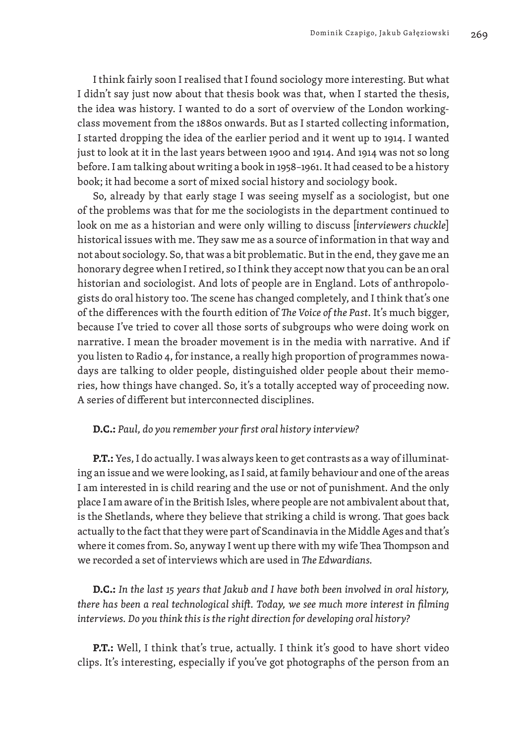I think fairly soon I realised that I found sociology more interesting. But what I didn't say just now about that thesis book was that, when I started the thesis, the idea was history. I wanted to do a sort of overview of the London workingclass movement from the 1880s onwards. But as I started collecting information, I started dropping the idea of the earlier period and it went up to 1914. I wanted just to look at it in the last years between 1900 and 1914. And 1914 was not so long before. I am talking about writing a book in 1958–1961. It had ceased to be a history book; it had become a sort of mixed social history and sociology book.

So, already by that early stage I was seeing myself as a sociologist, but one of the problems was that for me the sociologists in the department continued to look on me as a historian and were only willing to discuss [*interviewers chuckle*] historical issues with me. They saw me as a source of information in that way and not about sociology. So, that was a bit problematic. But in the end, they gave me an honorary degree when I retired, so I think they accept now that you can be an oral historian and sociologist. And lots of people are in England. Lots of anthropologists do oral history too. The scene has changed completely, and I think that's one of the differences with the fourth edition of *The Voice of the Past*. It's much bigger, because I've tried to cover all those sorts of subgroups who were doing work on narrative. I mean the broader movement is in the media with narrative. And if you listen to Radio 4, for instance, a really high proportion of programmes nowadays are talking to older people, distinguished older people about their memories, how things have changed. So, it's a totally accepted way of proceeding now. A series of different but interconnected disciplines.

## **D.C.:** *Paul, do you remember your first oral history interview?*

**P.T.:** Yes, I do actually. I was always keen to get contrasts as a way of illuminating an issue and we were looking, as I said, at family behaviour and one of the areas I am interested in is child rearing and the use or not of punishment. And the only place I am aware of in the British Isles, where people are not ambivalent about that, is the Shetlands, where they believe that striking a child is wrong. That goes back actually to the fact that they were part of Scandinavia in the Middle Ages and that's where it comes from. So, anyway I went up there with my wife Thea Thompson and we recorded a set of interviews which are used in *The Edwardians.*

**D.C.:** *In the last 15 years that Jakub and I have both been involved in oral history, there has been a real technological shift. Today, we see much more interest in filming interviews. Do you think this is the right direction for developing oral history?*

**P.T.:** Well, I think that's true, actually. I think it's good to have short video clips. It's interesting, especially if you've got photographs of the person from an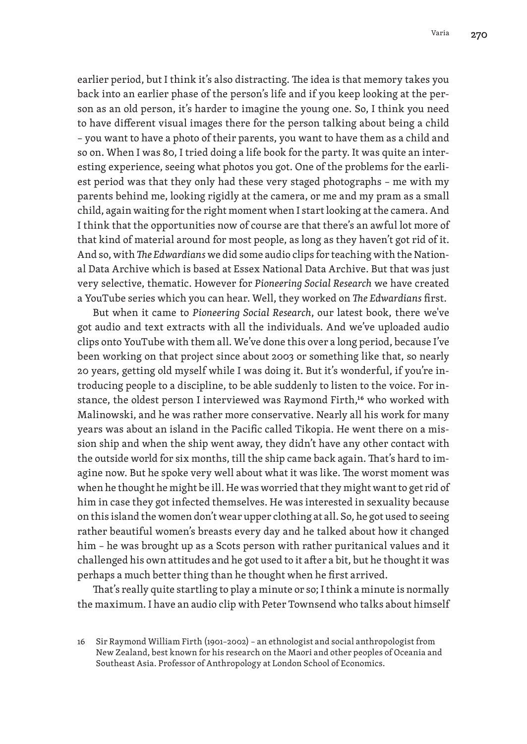earlier period, but I think it's also distracting. The idea is that memory takes you back into an earlier phase of the person's life and if you keep looking at the person as an old person, it's harder to imagine the young one. So, I think you need to have different visual images there for the person talking about being a child – you want to have a photo of their parents, you want to have them as a child and so on. When I was 80, I tried doing a life book for the party. It was quite an interesting experience, seeing what photos you got. One of the problems for the earliest period was that they only had these very staged photographs – me with my parents behind me, looking rigidly at the camera, or me and my pram as a small child, again waiting for the right moment when I start looking at the camera. And I think that the opportunities now of course are that there's an awful lot more of that kind of material around for most people, as long as they haven't got rid of it. And so, with *The Edwardians* we did some audio clips for teaching with the National Data Archive which is based at Essex National Data Archive. But that was just very selective, thematic. However for *Pioneering Social Research* we have created a YouTube series which you can hear. Well, they worked on *The Edwardians* first.

But when it came to *Pioneering Social Research*, our latest book, there we've got audio and text extracts with all the individuals. And we've uploaded audio clips onto YouTube with them all. We've done this over a long period, because I've been working on that project since about 2003 or something like that, so nearly 20 years, getting old myself while I was doing it. But it's wonderful, if you're introducing people to a discipline, to be able suddenly to listen to the voice. For instance, the oldest person I interviewed was Raymond Firth,<sup>16</sup> who worked with Malinowski, and he was rather more conservative. Nearly all his work for many years was about an island in the Pacific called Tikopia. He went there on a mission ship and when the ship went away, they didn't have any other contact with the outside world for six months, till the ship came back again. That's hard to imagine now. But he spoke very well about what it was like. The worst moment was when he thought he might be ill. He was worried that they might want to get rid of him in case they got infected themselves. He was interested in sexuality because on this island the women don't wear upper clothing at all. So, he got used to seeing rather beautiful women's breasts every day and he talked about how it changed him – he was brought up as a Scots person with rather puritanical values and it challenged his own attitudes and he got used to it after a bit, but he thought it was perhaps a much better thing than he thought when he first arrived.

That's really quite startling to play a minute or so; I think a minute is normally the maximum. I have an audio clip with Peter Townsend who talks about himself

<sup>16</sup> Sir Raymond William Firth (1901–2002) – an ethnologist and social anthropologist from New Zealand, best known for his research on the Maori and other peoples of Oceania and Southeast Asia. Professor of Anthropology at London School of Economics.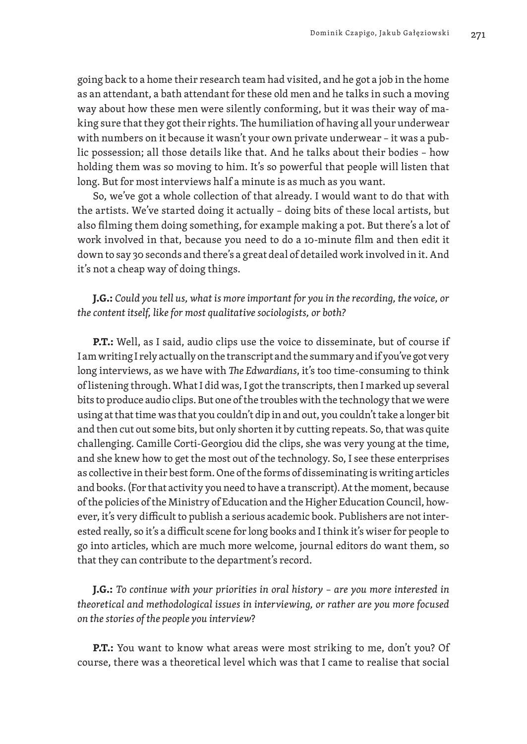going back to a home their research team had visited, and he got a job in the home as an attendant, a bath attendant for these old men and he talks in such a moving way about how these men were silently conforming, but it was their way of making sure that they got their rights. The humiliation of having all your underwear with numbers on it because it wasn't your own private underwear – it was a public possession; all those details like that. And he talks about their bodies – how holding them was so moving to him. It's so powerful that people will listen that long. But for most interviews half a minute is as much as you want.

So, we've got a whole collection of that already. I would want to do that with the artists. We've started doing it actually – doing bits of these local artists, but also filming them doing something, for example making a pot. But there's a lot of work involved in that, because you need to do a 10-minute film and then edit it down to say 30 seconds and there's a great deal of detailed work involved in it. And it's not a cheap way of doing things.

**J.G.:** *Could you tell us, what is more important for you in the recording, the voice, or the content itself, like for most qualitative sociologists, or both?*

**P.T.:** Well, as I said, audio clips use the voice to disseminate, but of course if I am writing I rely actually on the transcript and the summary and if you've got very long interviews, as we have with *The Edwardians*, it's too time-consuming to think of listening through. What I did was, I got the transcripts, then I marked up several bits to produce audio clips. But one of the troubles with the technology that we were using at that time was that you couldn't dip in and out, you couldn't take a longer bit and then cut out some bits, but only shorten it by cutting repeats. So, that was quite challenging. Camille Corti-Georgiou did the clips, she was very young at the time, and she knew how to get the most out of the technology. So, I see these enterprises as collective in their best form. One of the forms of disseminating is writing articles and books. (For that activity you need to have a transcript). At the moment, because of the policies of the Ministry of Education and the Higher Education Council, however, it's very difficult to publish a serious academic book. Publishers are not interested really, so it's a difficult scene for long books and I think it's wiser for people to go into articles, which are much more welcome, journal editors do want them, so that they can contribute to the department's record.

**J.G.:** *To continue with your priorities in oral history – are you more interested in theoretical and methodological issues in interviewing, or rather are you more focused on the stories of the people you interview*?

**P.T.:** You want to know what areas were most striking to me, don't you? Of course, there was a theoretical level which was that I came to realise that social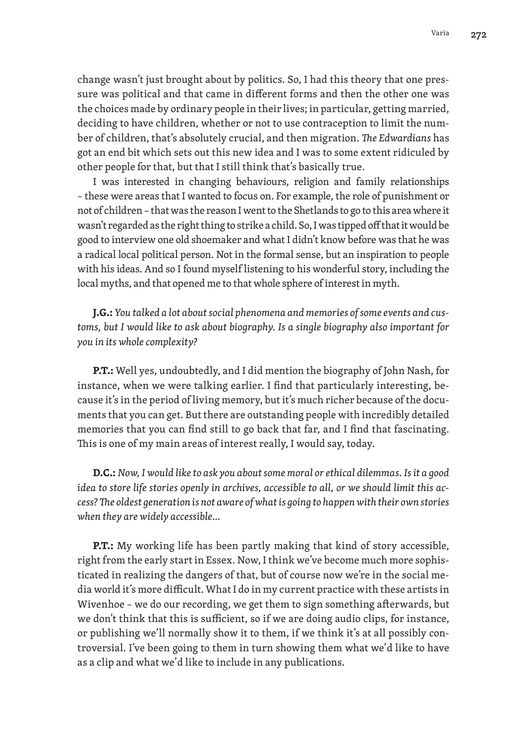change wasn't just brought about by politics. So, I had this theory that one pressure was political and that came in different forms and then the other one was the choices made by ordinary people in their lives; in particular, getting married, deciding to have children, whether or not to use contraception to limit the number of children, that's absolutely crucial, and then migration. *The Edwardians* has got an end bit which sets out this new idea and I was to some extent ridiculed by other people for that, but that I still think that's basically true.

I was interested in changing behaviours, religion and family relationships – these were areas that I wanted to focus on. For example, the role of punishment or not of children – that was the reason I went to the Shetlands to go to this area where it wasn't regarded as the right thing to strike a child. So, I was tipped off that it would be good to interview one old shoemaker and what I didn't know before was that he was a radical local political person. Not in the formal sense, but an inspiration to people with his ideas. And so I found myself listening to his wonderful story, including the local myths, and that opened me to that whole sphere of interest in myth.

**J.G.:** *You talked a lot about social phenomena and memories of some events and customs, but I would like to ask about biography. Is a single biography also important for you in its whole complexity?*

**P.T.:** Well yes, undoubtedly, and I did mention the biography of John Nash, for instance, when we were talking earlier. I find that particularly interesting, because it's in the period of living memory, but it's much richer because of the documents that you can get. But there are outstanding people with incredibly detailed memories that you can find still to go back that far, and I find that fascinating. This is one of my main areas of interest really, I would say, today.

**D.C.:** *Now, I would like to ask you about some moral or ethical dilemmas. Is it a good idea to store life stories openly in archives, accessible to all, or we should limit this access? The oldest generation is not aware of what is going to happen with their own stories when they are widely accessible…*

**P.T.:** My working life has been partly making that kind of story accessible, right from the early start in Essex. Now, I think we've become much more sophisticated in realizing the dangers of that, but of course now we're in the social media world it's more difficult. What I do in my current practice with these artists in Wivenhoe – we do our recording, we get them to sign something afterwards, but we don't think that this is sufficient, so if we are doing audio clips, for instance, or publishing we'll normally show it to them, if we think it's at all possibly controversial. I've been going to them in turn showing them what we'd like to have as a clip and what we'd like to include in any publications.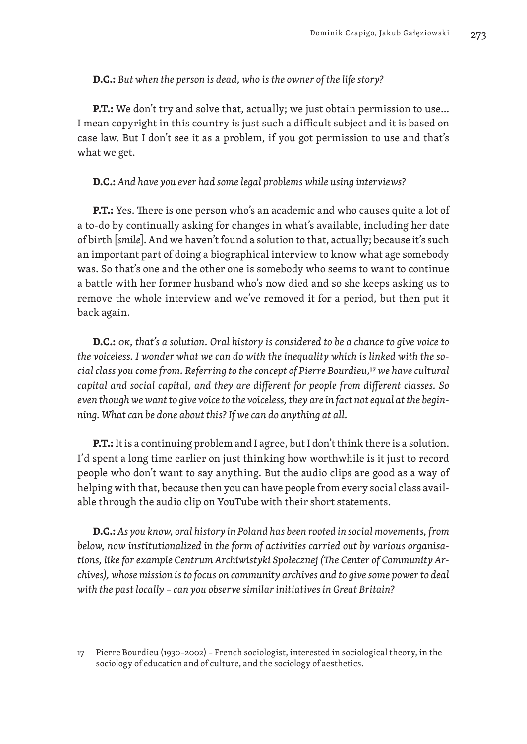## **D.C.:** *But when the person is dead, who is the owner of the life story?*

**P.T.:** We don't try and solve that, actually; we just obtain permission to use... I mean copyright in this country is just such a difficult subject and it is based on case law. But I don't see it as a problem, if you got permission to use and that's what we get.

## **D.C.:** *And have you ever had some legal problems while using interviews?*

**P.T.:** Yes. There is one person who's an academic and who causes quite a lot of a to-do by continually asking for changes in what's available, including her date of birth [*smile*]. And we haven't found a solution to that, actually; because it's such an important part of doing a biographical interview to know what age somebody was. So that's one and the other one is somebody who seems to want to continue a battle with her former husband who's now died and so she keeps asking us to remove the whole interview and we've removed it for a period, but then put it back again.

**D.C.:** *OK, that's a solution. Oral history is considered to be a chance to give voice to the voiceless. I wonder what we can do with the inequality which is linked with the social class you come from. Referring to the concept of Pierre Bourdieu,*17 *we have cultural capital and social capital, and they are different for people from different classes. So even though we want to give voice to the voiceless, they are in fact not equal at the beginning. What can be done about this? If we can do anything at all.*

**P.T.:** It is a continuing problem and I agree, but I don't think there is a solution. I'd spent a long time earlier on just thinking how worthwhile is it just to record people who don't want to say anything. But the audio clips are good as a way of helping with that, because then you can have people from every social class available through the audio clip on YouTube with their short statements.

**D.C.:** *As you know, oral history in Poland has been rooted in social movements, from below, now institutionalized in the form of activities carried out by various organisations, like for example Centrum Archiwistyki Społecznej (The Center of Community Archives), whose mission is to focus on community archives and to give some power to deal with the past locally – can you observe similar initiatives in Great Britain?*

<sup>17</sup> Pierre Bourdieu (1930–2002) – French sociologist, interested in sociological theory, in the sociology of education and of culture, and the sociology of aesthetics.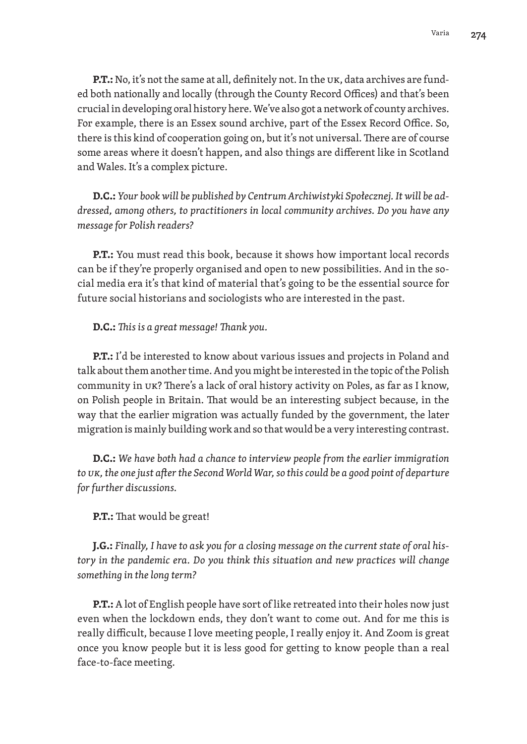**P.T.:** No, it's not the same at all, definitely not. In the UK, data archives are funded both nationally and locally (through the County Record Offices) and that's been crucial in developing oral history here. We've also got a network of county archives. For example, there is an Essex sound archive, part of the Essex Record Office. So, there is this kind of cooperation going on, but it's not universal. There are of course some areas where it doesn't happen, and also things are different like in Scotland and Wales. It's a complex picture.

**D.C.:** *Your book will be published by Centrum Archiwistyki Społecznej. It will be addressed, among others, to practitioners in local community archives. Do you have any message for Polish readers?*

**P.T.:** You must read this book, because it shows how important local records can be if they're properly organised and open to new possibilities. And in the social media era it's that kind of material that's going to be the essential source for future social historians and sociologists who are interested in the past.

**D.C.:** *This is a great message! Thank you.*

**P.T.:** I'd be interested to know about various issues and projects in Poland and talk about them another time. And you might be interested in the topic of the Polish community in UK? There's a lack of oral history activity on Poles, as far as I know, on Polish people in Britain. That would be an interesting subject because, in the way that the earlier migration was actually funded by the government, the later migration is mainly building work and so that would be a very interesting contrast.

**D.C.:** *We have both had a chance to interview people from the earlier immigration to UK, the one just after the Second World War, so this could be a good point of departure for further discussions.*

**P.T.:** That would be great!

**J.G.:** *Finally, I have to ask you for a closing message on the current state of oral history in the pandemic era. Do you think this situation and new practices will change something in the long term?*

**P.T.:** A lot of English people have sort of like retreated into their holes now just even when the lockdown ends, they don't want to come out. And for me this is really difficult, because I love meeting people, I really enjoy it. And Zoom is great once you know people but it is less good for getting to know people than a real face-to-face meeting.